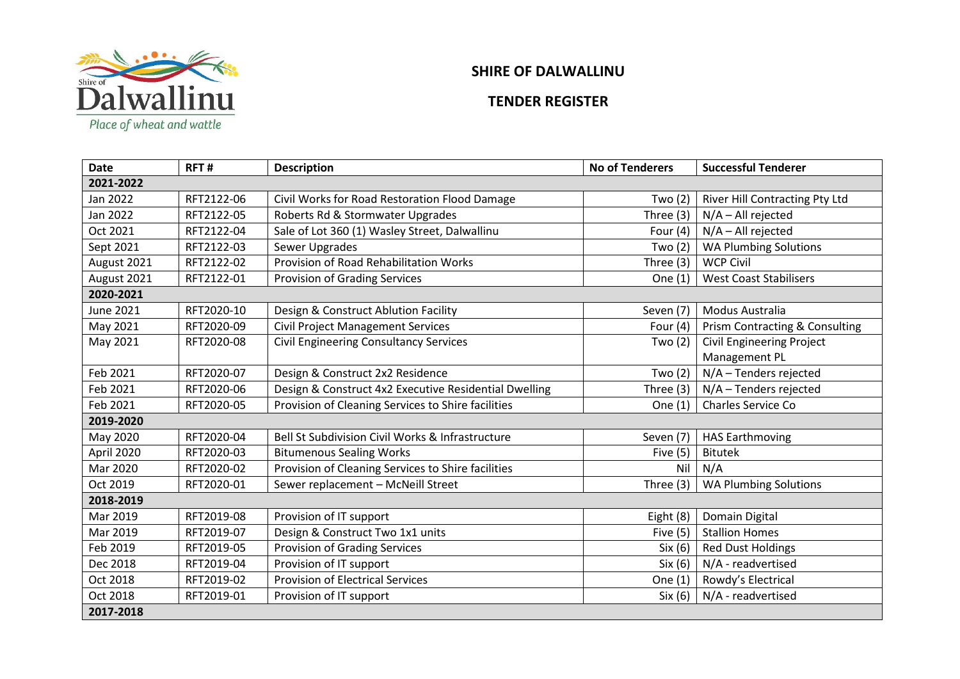

## **SHIRE OF DALWALLINU**

## **TENDER REGISTER**

| <b>Date</b>      | RFT#       | <b>Description</b>                                    | <b>No of Tenderers</b> | <b>Successful Tenderer</b>       |  |  |  |
|------------------|------------|-------------------------------------------------------|------------------------|----------------------------------|--|--|--|
| 2021-2022        |            |                                                       |                        |                                  |  |  |  |
| Jan 2022         | RFT2122-06 | Civil Works for Road Restoration Flood Damage         | Two $(2)$              | River Hill Contracting Pty Ltd   |  |  |  |
| Jan 2022         | RFT2122-05 | Roberts Rd & Stormwater Upgrades                      | Three (3)              | $N/A - All rejected$             |  |  |  |
| Oct 2021         | RFT2122-04 | Sale of Lot 360 (1) Wasley Street, Dalwallinu         | Four $(4)$             | N/A - All rejected               |  |  |  |
| Sept 2021        | RFT2122-03 | Sewer Upgrades                                        | Two $(2)$              | <b>WA Plumbing Solutions</b>     |  |  |  |
| August 2021      | RFT2122-02 | Provision of Road Rehabilitation Works                | Three (3)              | <b>WCP Civil</b>                 |  |  |  |
| August 2021      | RFT2122-01 | Provision of Grading Services                         | One $(1)$              | <b>West Coast Stabilisers</b>    |  |  |  |
| 2020-2021        |            |                                                       |                        |                                  |  |  |  |
| <b>June 2021</b> | RFT2020-10 | Design & Construct Ablution Facility                  | Seven (7)              | Modus Australia                  |  |  |  |
| May 2021         | RFT2020-09 | <b>Civil Project Management Services</b>              | Four $(4)$             | Prism Contracting & Consulting   |  |  |  |
| May 2021         | RFT2020-08 | Civil Engineering Consultancy Services                | Two $(2)$              | <b>Civil Engineering Project</b> |  |  |  |
|                  |            |                                                       |                        | Management PL                    |  |  |  |
| Feb 2021         | RFT2020-07 | Design & Construct 2x2 Residence                      | Two $(2)$              | N/A - Tenders rejected           |  |  |  |
| Feb 2021         | RFT2020-06 | Design & Construct 4x2 Executive Residential Dwelling | Three $(3)$            | N/A - Tenders rejected           |  |  |  |
| Feb 2021         | RFT2020-05 | Provision of Cleaning Services to Shire facilities    | One $(1)$              | <b>Charles Service Co</b>        |  |  |  |
| 2019-2020        |            |                                                       |                        |                                  |  |  |  |
| May 2020         | RFT2020-04 | Bell St Subdivision Civil Works & Infrastructure      | Seven (7)              | <b>HAS Earthmoving</b>           |  |  |  |
| April 2020       | RFT2020-03 | <b>Bitumenous Sealing Works</b>                       | Five $(5)$             | <b>Bitutek</b>                   |  |  |  |
| Mar 2020         | RFT2020-02 | Provision of Cleaning Services to Shire facilities    | Nil                    | N/A                              |  |  |  |
| Oct 2019         | RFT2020-01 | Sewer replacement - McNeill Street                    | Three (3)              | <b>WA Plumbing Solutions</b>     |  |  |  |
| 2018-2019        |            |                                                       |                        |                                  |  |  |  |
| Mar 2019         | RFT2019-08 | Provision of IT support                               | Eight (8)              | Domain Digital                   |  |  |  |
| Mar 2019         | RFT2019-07 | Design & Construct Two 1x1 units                      | Five $(5)$             | <b>Stallion Homes</b>            |  |  |  |
| Feb 2019         | RFT2019-05 | <b>Provision of Grading Services</b>                  | Six (6)                | <b>Red Dust Holdings</b>         |  |  |  |
| Dec 2018         | RFT2019-04 | Provision of IT support                               | Six(6)                 | N/A - readvertised               |  |  |  |
| Oct 2018         | RFT2019-02 | <b>Provision of Electrical Services</b>               | One (1)                | Rowdy's Electrical               |  |  |  |
| Oct 2018         | RFT2019-01 | Provision of IT support                               | Six(6)                 | N/A - readvertised               |  |  |  |
| 2017-2018        |            |                                                       |                        |                                  |  |  |  |